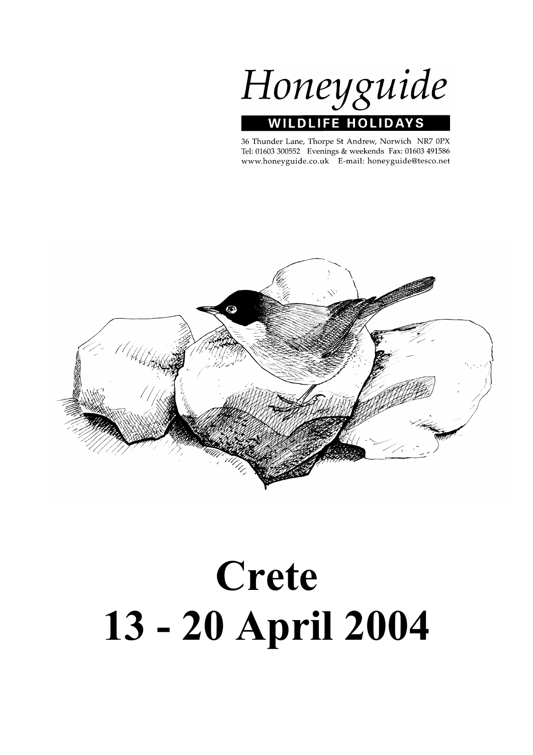

36 Thunder Lane, Thorpe St Andrew, Norwich NR7 0PX Tel: 01603 300552 Evenings & weekends Fax: 01603 491586 www.honeyguide.co.uk E-mail: honeyguide@tesco.net



# **Crete 13 - 20 April 2004**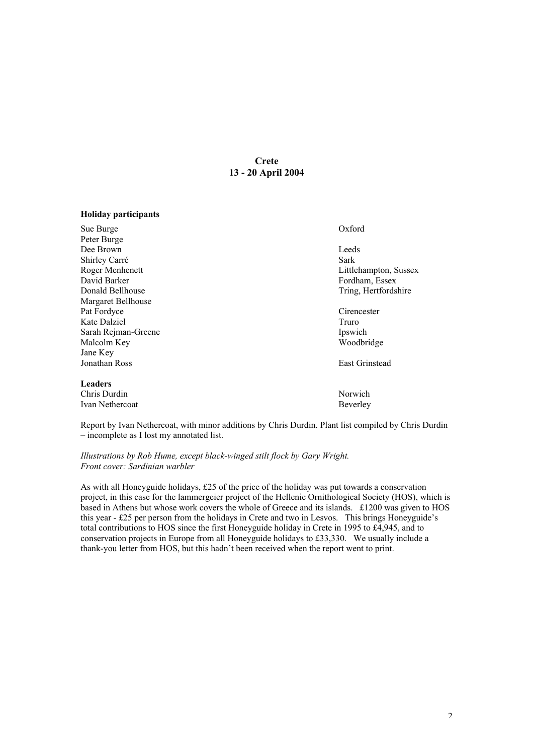# **Crete 13 - 20 April 2004**

# **Holiday participants**

| Sue Burge           | Oxford                |
|---------------------|-----------------------|
| Peter Burge         |                       |
| Dee Brown           | Leeds                 |
| Shirley Carré       | Sark                  |
| Roger Menhenett     | Littlehampton, Sussex |
| David Barker        | Fordham, Essex        |
| Donald Bellhouse    | Tring, Hertfordshire  |
| Margaret Bellhouse  |                       |
| Pat Fordyce         | Cirencester           |
| Kate Dalziel        | Truro                 |
| Sarah Rejman-Greene | Ipswich               |
| Malcolm Key         | Woodbridge            |
| Jane Key            |                       |
| Jonathan Ross       | <b>East Grinstead</b> |
| <b>Leaders</b>      |                       |
| Chris Durdin        | Norwich               |
| Ivan Nethercoat     | Beverley              |

Report by Ivan Nethercoat, with minor additions by Chris Durdin. Plant list compiled by Chris Durdin – incomplete as I lost my annotated list.

*Illustrations by Rob Hume, except black-winged stilt flock by Gary Wright. Front cover: Sardinian warbler*

As with all Honeyguide holidays, £25 of the price of the holiday was put towards a conservation project, in this case for the lammergeier project of the Hellenic Ornithological Society (HOS), which is based in Athens but whose work covers the whole of Greece and its islands. £1200 was given to HOS this year - £25 per person from the holidays in Crete and two in Lesvos. This brings Honeyguide's total contributions to HOS since the first Honeyguide holiday in Crete in 1995 to £4,945, and to conservation projects in Europe from all Honeyguide holidays to £33,330. We usually include a thank-you letter from HOS, but this hadn't been received when the report went to print.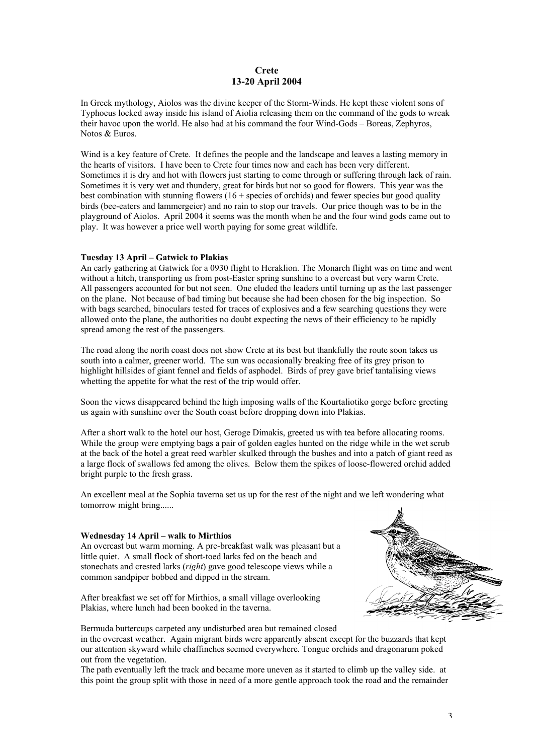# **Crete 13-20 April 2004**

In Greek mythology, Aiolos was the divine keeper of the Storm-Winds. He kept these violent sons of Typhoeus locked away inside his island of Aiolia releasing them on the command of the gods to wreak their havoc upon the world. He also had at his command the four Wind-Gods – Boreas, Zephyros, Notos & Euros.

Wind is a key feature of Crete. It defines the people and the landscape and leaves a lasting memory in the hearts of visitors. I have been to Crete four times now and each has been very different. Sometimes it is dry and hot with flowers just starting to come through or suffering through lack of rain. Sometimes it is very wet and thundery, great for birds but not so good for flowers. This year was the best combination with stunning flowers  $(16 + \text{species of orchids})$  and fewer species but good quality birds (bee-eaters and lammergeier) and no rain to stop our travels. Our price though was to be in the playground of Aiolos. April 2004 it seems was the month when he and the four wind gods came out to play. It was however a price well worth paying for some great wildlife.

# **Tuesday 13 April – Gatwick to Plakias**

An early gathering at Gatwick for a 0930 flight to Heraklion. The Monarch flight was on time and went without a hitch, transporting us from post-Easter spring sunshine to a overcast but very warm Crete. All passengers accounted for but not seen. One eluded the leaders until turning up as the last passenger on the plane. Not because of bad timing but because she had been chosen for the big inspection. So with bags searched, binoculars tested for traces of explosives and a few searching questions they were allowed onto the plane, the authorities no doubt expecting the news of their efficiency to be rapidly spread among the rest of the passengers.

The road along the north coast does not show Crete at its best but thankfully the route soon takes us south into a calmer, greener world. The sun was occasionally breaking free of its grey prison to highlight hillsides of giant fennel and fields of asphodel. Birds of prey gave brief tantalising views whetting the appetite for what the rest of the trip would offer.

Soon the views disappeared behind the high imposing walls of the Kourtaliotiko gorge before greeting us again with sunshine over the South coast before dropping down into Plakias.

After a short walk to the hotel our host, Geroge Dimakis, greeted us with tea before allocating rooms. While the group were emptying bags a pair of golden eagles hunted on the ridge while in the wet scrub at the back of the hotel a great reed warbler skulked through the bushes and into a patch of giant reed as a large flock of swallows fed among the olives. Below them the spikes of loose-flowered orchid added bright purple to the fresh grass.

An excellent meal at the Sophia taverna set us up for the rest of the night and we left wondering what tomorrow might bring......

# **Wednesday 14 April – walk to Mirthios**

An overcast but warm morning. A pre-breakfast walk was pleasant but a little quiet. A small flock of short-toed larks fed on the beach and stonechats and crested larks (*right*) gave good telescope views while a common sandpiper bobbed and dipped in the stream.

After breakfast we set off for Mirthios, a small village overlooking Plakias, where lunch had been booked in the taverna.



Bermuda buttercups carpeted any undisturbed area but remained closed

in the overcast weather. Again migrant birds were apparently absent except for the buzzards that kept our attention skyward while chaffinches seemed everywhere. Tongue orchids and dragonarum poked out from the vegetation.

The path eventually left the track and became more uneven as it started to climb up the valley side. at this point the group split with those in need of a more gentle approach took the road and the remainder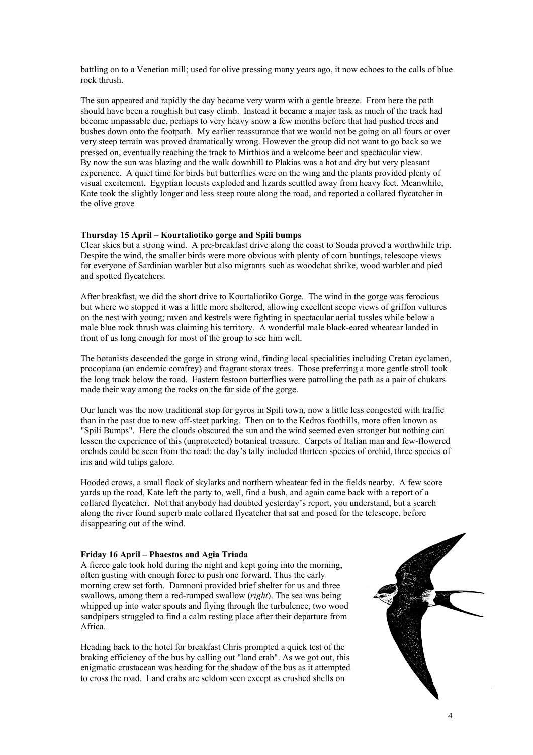battling on to a Venetian mill; used for olive pressing many years ago, it now echoes to the calls of blue rock thrush.

The sun appeared and rapidly the day became very warm with a gentle breeze. From here the path should have been a roughish but easy climb. Instead it became a major task as much of the track had become impassable due, perhaps to very heavy snow a few months before that had pushed trees and bushes down onto the footpath. My earlier reassurance that we would not be going on all fours or over very steep terrain was proved dramatically wrong. However the group did not want to go back so we pressed on, eventually reaching the track to Mirthios and a welcome beer and spectacular view. By now the sun was blazing and the walk downhill to Plakias was a hot and dry but very pleasant experience. A quiet time for birds but butterflies were on the wing and the plants provided plenty of visual excitement. Egyptian locusts exploded and lizards scuttled away from heavy feet. Meanwhile, Kate took the slightly longer and less steep route along the road, and reported a collared flycatcher in the olive grove

# **Thursday 15 April – Kourtaliotiko gorge and Spili bumps**

Clear skies but a strong wind. A pre-breakfast drive along the coast to Souda proved a worthwhile trip. Despite the wind, the smaller birds were more obvious with plenty of corn buntings, telescope views for everyone of Sardinian warbler but also migrants such as woodchat shrike, wood warbler and pied and spotted flycatchers.

After breakfast, we did the short drive to Kourtaliotiko Gorge. The wind in the gorge was ferocious but where we stopped it was a little more sheltered, allowing excellent scope views of griffon vultures on the nest with young; raven and kestrels were fighting in spectacular aerial tussles while below a male blue rock thrush was claiming his territory. A wonderful male black-eared wheatear landed in front of us long enough for most of the group to see him well.

The botanists descended the gorge in strong wind, finding local specialities including Cretan cyclamen, procopiana (an endemic comfrey) and fragrant storax trees. Those preferring a more gentle stroll took the long track below the road. Eastern festoon butterflies were patrolling the path as a pair of chukars made their way among the rocks on the far side of the gorge.

Our lunch was the now traditional stop for gyros in Spili town, now a little less congested with traffic than in the past due to new off-steet parking. Then on to the Kedros foothills, more often known as "Spili Bumps". Here the clouds obscured the sun and the wind seemed even stronger but nothing can lessen the experience of this (unprotected) botanical treasure. Carpets of Italian man and few-flowered orchids could be seen from the road: the day's tally included thirteen species of orchid, three species of iris and wild tulips galore.

Hooded crows, a small flock of skylarks and northern wheatear fed in the fields nearby. A few score yards up the road, Kate left the party to, well, find a bush, and again came back with a report of a collared flycatcher. Not that anybody had doubted yesterday's report, you understand, but a search along the river found superb male collared flycatcher that sat and posed for the telescope, before disappearing out of the wind.

# **Friday 16 April – Phaestos and Agia Triada**

A fierce gale took hold during the night and kept going into the morning, often gusting with enough force to push one forward. Thus the early morning crew set forth. Damnoni provided brief shelter for us and three swallows, among them a red-rumped swallow (*right*). The sea was being whipped up into water spouts and flying through the turbulence, two wood sandpipers struggled to find a calm resting place after their departure from Africa.

Heading back to the hotel for breakfast Chris prompted a quick test of the braking efficiency of the bus by calling out "land crab". As we got out, this enigmatic crustacean was heading for the shadow of the bus as it attempted to cross the road. Land crabs are seldom seen except as crushed shells on

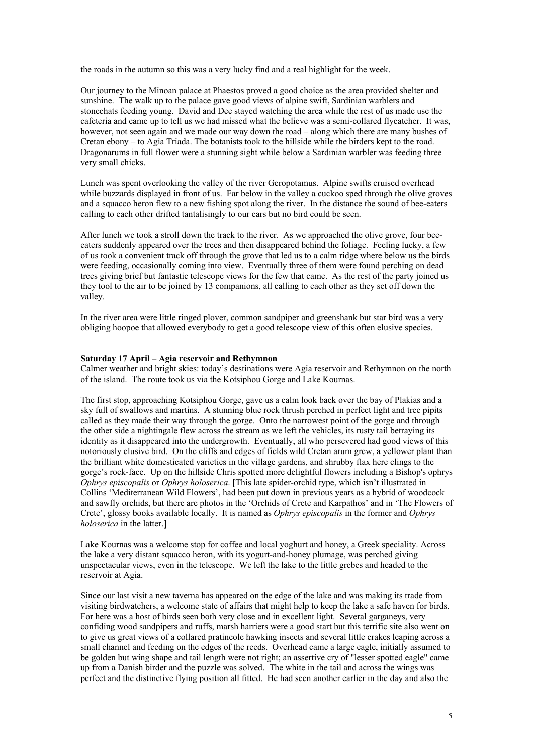the roads in the autumn so this was a very lucky find and a real highlight for the week.

Our journey to the Minoan palace at Phaestos proved a good choice as the area provided shelter and sunshine. The walk up to the palace gave good views of alpine swift, Sardinian warblers and stonechats feeding young. David and Dee stayed watching the area while the rest of us made use the cafeteria and came up to tell us we had missed what the believe was a semi-collared flycatcher. It was, however, not seen again and we made our way down the road – along which there are many bushes of Cretan ebony – to Agia Triada. The botanists took to the hillside while the birders kept to the road. Dragonarums in full flower were a stunning sight while below a Sardinian warbler was feeding three very small chicks.

Lunch was spent overlooking the valley of the river Geropotamus. Alpine swifts cruised overhead while buzzards displayed in front of us. Far below in the valley a cuckoo sped through the olive groves and a squacco heron flew to a new fishing spot along the river. In the distance the sound of bee-eaters calling to each other drifted tantalisingly to our ears but no bird could be seen.

After lunch we took a stroll down the track to the river. As we approached the olive grove, four beeeaters suddenly appeared over the trees and then disappeared behind the foliage. Feeling lucky, a few of us took a convenient track off through the grove that led us to a calm ridge where below us the birds were feeding, occasionally coming into view. Eventually three of them were found perching on dead trees giving brief but fantastic telescope views for the few that came. As the rest of the party joined us they tool to the air to be joined by 13 companions, all calling to each other as they set off down the valley.

In the river area were little ringed plover, common sandpiper and greenshank but star bird was a very obliging hoopoe that allowed everybody to get a good telescope view of this often elusive species.

# **Saturday 17 April – Agia reservoir and Rethymnon**

Calmer weather and bright skies: today's destinations were Agia reservoir and Rethymnon on the north of the island. The route took us via the Kotsiphou Gorge and Lake Kournas.

The first stop, approaching Kotsiphou Gorge, gave us a calm look back over the bay of Plakias and a sky full of swallows and martins. A stunning blue rock thrush perched in perfect light and tree pipits called as they made their way through the gorge. Onto the narrowest point of the gorge and through the other side a nightingale flew across the stream as we left the vehicles, its rusty tail betraying its identity as it disappeared into the undergrowth. Eventually, all who persevered had good views of this notoriously elusive bird. On the cliffs and edges of fields wild Cretan arum grew, a yellower plant than the brilliant white domesticated varieties in the village gardens, and shrubby flax here clings to the gorge's rock-face. Up on the hillside Chris spotted more delightful flowers including a Bishop's ophrys *Ophrys episcopalis* or *Ophrys holoserica*. [This late spider-orchid type, which isn't illustrated in Collins 'Mediterranean Wild Flowers', had been put down in previous years as a hybrid of woodcock and sawfly orchids, but there are photos in the 'Orchids of Crete and Karpathos' and in 'The Flowers of Crete', glossy books available locally. It is named as *Ophrys episcopalis* in the former and *Ophrys holoserica* in the latter.]

Lake Kournas was a welcome stop for coffee and local yoghurt and honey, a Greek speciality. Across the lake a very distant squacco heron, with its yogurt-and-honey plumage, was perched giving unspectacular views, even in the telescope. We left the lake to the little grebes and headed to the reservoir at Agia.

Since our last visit a new taverna has appeared on the edge of the lake and was making its trade from visiting birdwatchers, a welcome state of affairs that might help to keep the lake a safe haven for birds. For here was a host of birds seen both very close and in excellent light. Several garganeys, very confiding wood sandpipers and ruffs, marsh harriers were a good start but this terrific site also went on to give us great views of a collared pratincole hawking insects and several little crakes leaping across a small channel and feeding on the edges of the reeds. Overhead came a large eagle, initially assumed to be golden but wing shape and tail length were not right; an assertive cry of "lesser spotted eagle" came up from a Danish birder and the puzzle was solved. The white in the tail and across the wings was perfect and the distinctive flying position all fitted. He had seen another earlier in the day and also the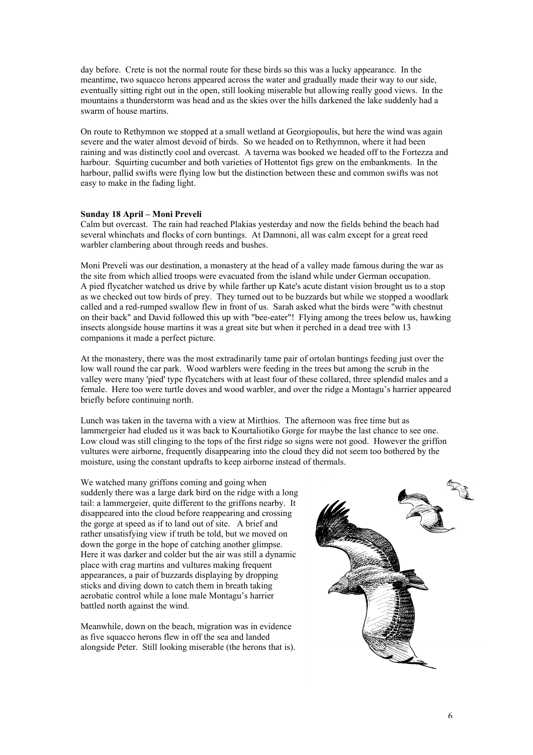day before. Crete is not the normal route for these birds so this was a lucky appearance. In the meantime, two squacco herons appeared across the water and gradually made their way to our side, eventually sitting right out in the open, still looking miserable but allowing really good views. In the mountains a thunderstorm was head and as the skies over the hills darkened the lake suddenly had a swarm of house martins.

On route to Rethymnon we stopped at a small wetland at Georgiopoulis, but here the wind was again severe and the water almost devoid of birds. So we headed on to Rethymnon, where it had been raining and was distinctly cool and overcast. A taverna was booked we headed off to the Fortezza and harbour. Squirting cucumber and both varieties of Hottentot figs grew on the embankments. In the harbour, pallid swifts were flying low but the distinction between these and common swifts was not easy to make in the fading light.

# **Sunday 18 April – Moni Preveli**

Calm but overcast. The rain had reached Plakias yesterday and now the fields behind the beach had several whinchats and flocks of corn buntings. At Damnoni, all was calm except for a great reed warbler clambering about through reeds and bushes.

Moni Preveli was our destination, a monastery at the head of a valley made famous during the war as the site from which allied troops were evacuated from the island while under German occupation. A pied flycatcher watched us drive by while farther up Kate's acute distant vision brought us to a stop as we checked out tow birds of prey. They turned out to be buzzards but while we stopped a woodlark called and a red-rumped swallow flew in front of us. Sarah asked what the birds were "with chestnut on their back" and David followed this up with "bee-eater"! Flying among the trees below us, hawking insects alongside house martins it was a great site but when it perched in a dead tree with 13 companions it made a perfect picture.

At the monastery, there was the most extradinarily tame pair of ortolan buntings feeding just over the low wall round the car park. Wood warblers were feeding in the trees but among the scrub in the valley were many 'pied' type flycatchers with at least four of these collared, three splendid males and a female. Here too were turtle doves and wood warbler, and over the ridge a Montagu's harrier appeared briefly before continuing north.

Lunch was taken in the taverna with a view at Mirthios. The afternoon was free time but as lammergeier had eluded us it was back to Kourtaliotiko Gorge for maybe the last chance to see one. Low cloud was still clinging to the tops of the first ridge so signs were not good. However the griffon vultures were airborne, frequently disappearing into the cloud they did not seem too bothered by the moisture, using the constant updrafts to keep airborne instead of thermals.

We watched many griffons coming and going when suddenly there was a large dark bird on the ridge with a long tail: a lammergeier, quite different to the griffons nearby. It disappeared into the cloud before reappearing and crossing the gorge at speed as if to land out of site. A brief and rather unsatisfying view if truth be told, but we moved on down the gorge in the hope of catching another glimpse. Here it was darker and colder but the air was still a dynamic place with crag martins and vultures making frequent appearances, a pair of buzzards displaying by dropping sticks and diving down to catch them in breath taking aerobatic control while a lone male Montagu's harrier battled north against the wind.

Meanwhile, down on the beach, migration was in evidence as five squacco herons flew in off the sea and landed alongside Peter. Still looking miserable (the herons that is).

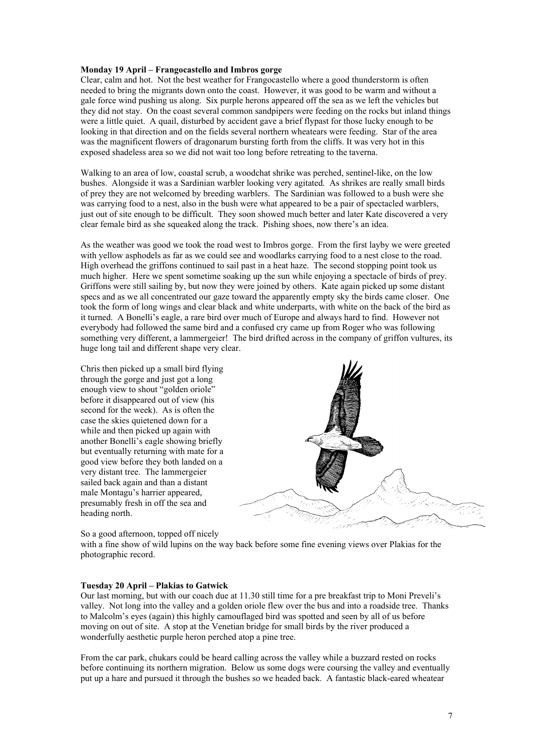# **Monday 19 April – Frangocastello and Imbros gorge**

Clear, calm and hot. Not the best weather for Frangocastello where a good thunderstorm is often needed to bring the migrants down onto the coast. However, it was good to be warm and without a gale force wind pushing us along. Six purple herons appeared off the sea as we left the vehicles but they did not stay. On the coast several common sandpipers were feeding on the rocks but inland things were a little quiet. A quail, disturbed by accident gave a brief flypast for those lucky enough to be looking in that direction and on the fields several northern wheatears were feeding. Star of the area was the magnificent flowers of dragonarum bursting forth from the cliffs. It was very hot in this exposed shadeless area so we did not wait too long before retreating to the taverna.

Walking to an area of low, coastal scrub, a woodchat shrike was perched, sentinel-like, on the low bushes. Alongside it was a Sardinian warbler looking very agitated. As shrikes are really small birds of prey they are not welcomed by breeding warblers. The Sardinian was followed to a bush were she was carrying food to a nest, also in the bush were what appeared to be a pair of spectacled warblers, just out of site enough to be difficult. They soon showed much better and later Kate discovered a very clear female bird as she squeaked along the track. Pishing shoes, now there's an idea.

As the weather was good we took the road west to Imbros gorge. From the first layby we were greeted with yellow asphodels as far as we could see and woodlarks carrying food to a nest close to the road. High overhead the griffons continued to sail past in a heat haze. The second stopping point took us much higher. Here we spent sometime soaking up the sun while enjoying a spectacle of birds of prey. Griffons were still sailing by, but now they were joined by others. Kate again picked up some distant specs and as we all concentrated our gaze toward the apparently empty sky the birds came closer. One took the form of long wings and clear black and white underparts, with white on the back of the bird as it turned. A Bonelli's eagle, a rare bird over much of Europe and always hard to find. However not everybody had followed the same bird and a confused cry came up from Roger who was following something very different, a lammergeier! The bird drifted across in the company of griffon vultures, its huge long tail and different shape very clear.

Chris then picked up a small bird flying through the gorge and just got a long enough view to shout "golden oriole" before it disappeared out of view (his second for the week). As is often the case the skies quietened down for a while and then picked up again with another Bonelli's eagle showing briefly but eventually returning with mate for a good view before they both landed on a very distant tree. The lammergeier sailed back again and than a distant male Montagu's harrier appeared, presumably fresh in off the sea and heading north.



# So a good afternoon, topped off nicely

with a fine show of wild lupins on the way back before some fine evening views over Plakias for the photographic record.

## **Tuesday 20 April – Plakias to Gatwick**

Our last morning, but with our coach due at 11.30 still time for a pre breakfast trip to Moni Preveli's valley. Not long into the valley and a golden oriole flew over the bus and into a roadside tree. Thanks to Malcolm's eyes (again) this highly camouflaged bird was spotted and seen by all of us before moving on out of site. A stop at the Venetian bridge for small birds by the river produced a wonderfully aesthetic purple heron perched atop a pine tree.

From the car park, chukars could be heard calling across the valley while a buzzard rested on rocks before continuing its northern migration. Below us some dogs were coursing the valley and eventually put up a hare and pursued it through the bushes so we headed back. A fantastic black-eared wheatear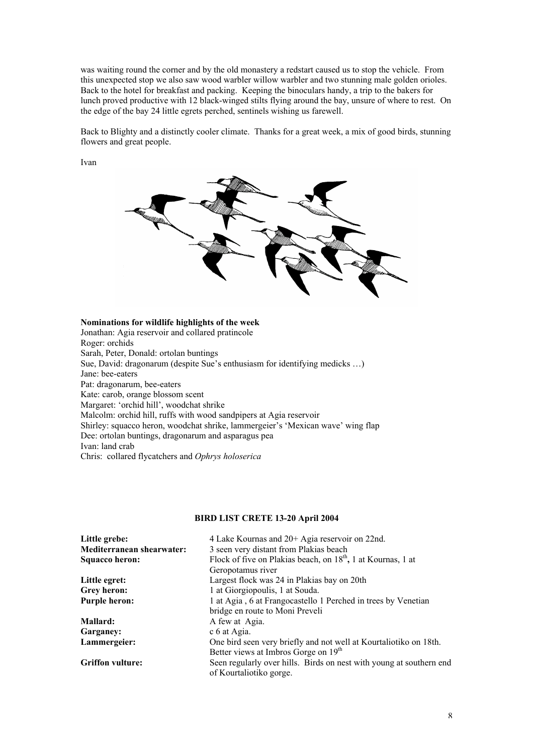was waiting round the corner and by the old monastery a redstart caused us to stop the vehicle. From this unexpected stop we also saw wood warbler willow warbler and two stunning male golden orioles. Back to the hotel for breakfast and packing. Keeping the binoculars handy, a trip to the bakers for lunch proved productive with 12 black-winged stilts flying around the bay, unsure of where to rest. On the edge of the bay 24 little egrets perched, sentinels wishing us farewell.

Back to Blighty and a distinctly cooler climate. Thanks for a great week, a mix of good birds, stunning flowers and great people.

Ivan



# **Nominations for wildlife highlights of the week**

Jonathan: Agia reservoir and collared pratincole Roger: orchids Sarah, Peter, Donald: ortolan buntings Sue, David: dragonarum (despite Sue's enthusiasm for identifying medicks …) Jane: bee-eaters Pat: dragonarum, bee-eaters Kate: carob, orange blossom scent Margaret: 'orchid hill', woodchat shrike Malcolm: orchid hill, ruffs with wood sandpipers at Agia reservoir Shirley: squacco heron, woodchat shrike, lammergeier's 'Mexican wave' wing flap Dee: ortolan buntings, dragonarum and asparagus pea Ivan: land crab Chris: collared flycatchers and *Ophrys holoserica*

# **BIRD LIST CRETE 13-20 April 2004**

| Little grebe:             | 4 Lake Kournas and 20+ Agia reservoir on 22nd.                           |
|---------------------------|--------------------------------------------------------------------------|
| Mediterranean shearwater: | 3 seen very distant from Plakias beach                                   |
| Squacco heron:            | Flock of five on Plakias beach, on 18 <sup>th</sup> , 1 at Kournas, 1 at |
|                           | Geropotamus river                                                        |
| Little egret:             | Largest flock was 24 in Plakias bay on 20th                              |
| Grey heron:               | 1 at Giorgiopoulis, 1 at Souda.                                          |
| <b>Purple heron:</b>      | 1 at Agia, 6 at Frangocastello 1 Perched in trees by Venetian            |
|                           | bridge en route to Moni Preveli                                          |
| Mallard:                  | A few at Agia.                                                           |
| Garganey:                 | c 6 at Agia.                                                             |
| Lammergeier:              | One bird seen very briefly and not well at Kourtaliotiko on 18th.        |
|                           | Better views at Imbros Gorge on 19 <sup>th</sup>                         |
| <b>Griffon vulture:</b>   | Seen regularly over hills. Birds on nest with young at southern end      |
|                           | of Kourtaliotiko gorge.                                                  |
|                           |                                                                          |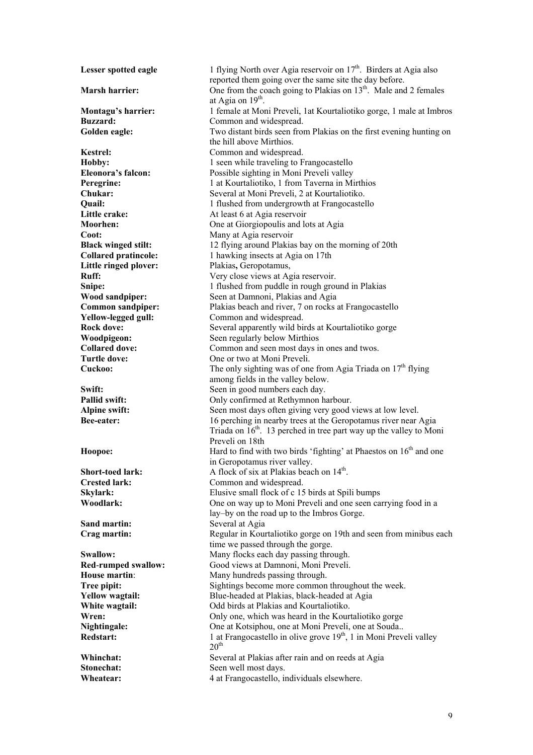**Sand martin:** Several at Agia

**Lesser spotted eagle** 1 flying North over Agia reservoir on 17<sup>th</sup>. Birders at Agia also reported them going over the same site the day before. **Marsh harrier:** One from the coach going to Plakias on 13<sup>th</sup>. Male and 2 females at Agia on 19<sup>th</sup>. **Montagu's harrier:** 1 female at Moni Preveli, 1at Kourtaliotiko gorge, 1 male at Imbros **Buzzard:** Common and widespread. Golden eagle: Two distant birds seen from Plakias on the first evening hunting on the hill above Mirthios. **Kestrel:** Common and widespread. **Hobby:** 1 seen while traveling to Frangocastello **Eleonora's falcon:** Possible sighting in Moni Preveli valley **Peregrine:** 1 at Kourtaliotiko, 1 from Taverna in Mirthios **Chukar:** Several at Moni Preveli, 2 at Kourtaliotiko. **Quail:** 1 flushed from undergrowth at Frangocastello **Little crake:** At least 6 at Agia reservoir **Moorhen:** One at Giorgiopoulis and lots at Agia **Coot:** Many at Agia reservoir **Black winged stilt:** 12 flying around Plakias bay on the morning of 20th **Collared pratincole:** 1 hawking insects at Agia on 17th Little ringed plover: Plakias, Geropotamus, **Ruff:** Very close views at Agia reservoir. **Snipe:** 1 flushed from puddle in rough ground in Plakias **Wood sandpiper:** Seen at Damnoni, Plakias and Agia **Common sandpiper:** Plakias beach and river, 7 on rocks at Frangocastello **Yellow-legged gull:** Common and widespread. **Rock dove:** Several apparently wild birds at Kourtaliotiko gorge<br>Woodpigeon: Seen regularly below Mirthios **Woodpigeon:** Seen regularly below Mirthios<br> **Collared dove:** Common and seen most days in Common and seen most days in ones and twos. Turtle dove: One or two at Moni Preveli. **Cuckoo:** The only sighting was of one from Agia Triada on  $17<sup>th</sup>$  flying among fields in the valley below. **Swift:** Seen in good numbers each day. **Pallid swift:** Only confirmed at Rethymnon harbour. **Alpine swift:** Seen most days often giving very good views at low level. **Bee-eater:** 16 perching in nearby trees at the Geropotamus river near Agia Triada on  $16<sup>th</sup>$ . 13 perched in tree part way up the valley to Moni Preveli on 18th **Hoopoe:** Hard to find with two birds 'fighting' at Phaestos on 16<sup>th</sup> and one in Geropotamus river valley. **Short-toed lark:** A flock of six at Plakias beach on 14<sup>th</sup>. **Crested lark:** Common and widespread. **Skylark:** Elusive small flock of c 15 birds at Spili bumps **Woodlark: One on way up to Moni Preveli and one seen carrying food in a** lay–by on the road up to the Imbros Gorge. **Crag martin: Regular in Kourtaliotiko gorge on 19th and seen from minibus each** time we passed through the gorge. **Swallow:** Many flocks each day passing through. **Red**-**rumped swallow:** Good views at Damnoni, Moni Preveli. **House martin:** Many hundreds passing through. **Tree pipit:** Sightings become more common throughout the week. **Yellow wagtail:** Blue-headed at Plakias, black-headed at Agia **White wagtail:** Odd birds at Plakias and Kourtaliotiko. **Wren:** Only one, which was heard in the Kourtaliotiko gorge **Nightingale:** One at Kotsiphou, one at Moni Preveli, one at Souda.. **Redstart:** 1 at Frangocastello in olive grove 19<sup>th</sup>, 1 in Moni Preveli valley  $20<sup>th</sup>$ **Whinchat:** Several at Plakias after rain and on reeds at Agia **Stonechat:** Seen well most days. **Wheatear:** 4 at Frangocastello, individuals elsewhere.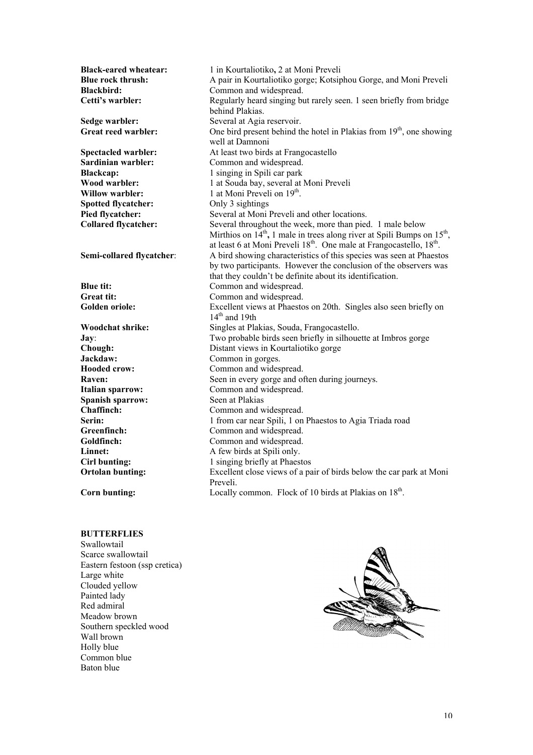**Black-eared wheatear:** 1 in Kourtaliotiko, 2 at Moni Preveli **Blue rock thrush:** A pair in Kourtaliotiko gorge; Kotsiphou Gorge, and Moni Preveli **Blackbird:** Common and widespread. **Cetti's warbler: Regularly heard singing but rarely seen.** 1 seen briefly from bridge behind Plakias. **Sedge warbler:** Several at Agia reservoir. **Great reed warbler:** One bird present behind the hotel in Plakias from 19<sup>th</sup>, one showing well at Damnoni **Spectacled warbler:** At least two birds at Frangocastello<br> **Sardinian warbler:** Common and widespread. Common and widespread. **Blackcap:** 1 singing in Spili car park **Wood warbler:** 1 at Souda bay, several at Moni Preveli **Willow warbler:** 1 at Moni Preveli on 19<sup>th</sup>. **Spotted flycatcher:** Only 3 sightings **Pied flycatcher:** Several at Moni Preveli and other locations. **Collared flycatcher:** Several throughout the week, more than pied. 1 male below Mirthios on 14<sup>th</sup>, 1 male in trees along river at Spili Bumps on 15<sup>th</sup>, at least 6 at Moni Preveli 18<sup>th</sup>. One male at Frangocastello, 18<sup>th</sup>. **Semi-collared flycatcher:** A bird showing characteristics of this species was seen at Phaestos by two participants. However the conclusion of the observers was that they couldn't be definite about its identification. **Blue tit:** Common and widespread. Great tit: Common and widespread. **Golden oriole:** Excellent views at Phaestos on 20th. Singles also seen briefly on  $14<sup>th</sup>$  and 19th **Woodchat shrike:** Singles at Plakias, Souda, Frangocastello. **Jay:** Two probable birds seen briefly in silhouette at Imbros gorge Chough: Distant views in Kourtaliotiko gorge Distant views in Kourtaliotiko gorge **Jackdaw:** Common in gorges.<br> **Hooded crow:** Common and wides Common and widespread. **Raven:** Seen in every gorge and often during journeys. **Italian sparrow:** Common and widespread. **Spanish sparrow:** Seen at Plakias **Chaffinch:** Common and widespread. **Serin:** 1 from car near Spili, 1 on Phaestos to Agia Triada road Greenfinch: Common and widespread. Goldfinch: Common and widespread. **Linnet:** A few birds at Spili only. **Cirl bunting:** 1 singing briefly at Phaestos<br> **Ortolan bunting:** Excellent close views of a pa Excellent close views of a pair of birds below the car park at Moni Preveli. **Corn bunting:** Locally common. Flock of 10 birds at Plakias on 18<sup>th</sup>.

# **BUTTERFLIES**

Swallowtail Scarce swallowtail Eastern festoon (ssp cretica) Large white Clouded yellow Painted lady Red admiral Meadow brown Southern speckled wood Wall brown Holly blue Common blue Baton blue

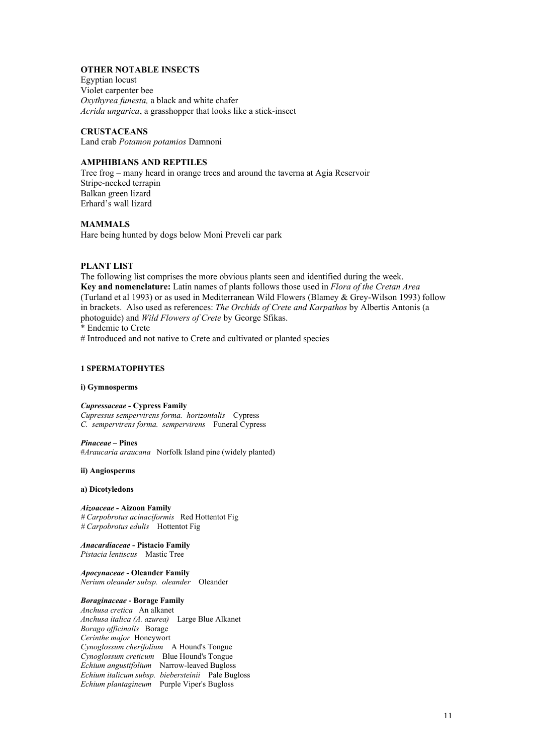# **OTHER NOTABLE INSECTS**

Egyptian locust Violet carpenter bee *Oxythyrea funesta,* a black and white chafer *Acrida ungarica*, a grasshopper that looks like a stick-insect

# **CRUSTACEANS**

Land crab *Potamon potamios* Damnoni

# **AMPHIBIANS AND REPTILES**

Tree frog – many heard in orange trees and around the taverna at Agia Reservoir Stripe-necked terrapin Balkan green lizard Erhard's wall lizard

# **MAMMALS**

Hare being hunted by dogs below Moni Preveli car park

### **PLANT LIST**

The following list comprises the more obvious plants seen and identified during the week. **Key and nomenclature:** Latin names of plants follows those used in *Flora of the Cretan Area* (Turland et al 1993) or as used in Mediterranean Wild Flowers (Blamey & Grey-Wilson 1993) follow in brackets. Also used as references: *The Orchids of Crete and Karpathos* by Albertis Antonis (a photoguide) and *Wild Flowers of Crete* by George Sfikas.

\* Endemic to Crete

# Introduced and not native to Crete and cultivated or planted species

# **1 SPERMATOPHYTES**

### **i) Gymnosperms**

# *Cupressaceae -* **Cypress Family**

*Cupressus sempervirens forma. horizontalis* Cypress *C. sempervirens forma. sempervirens* Funeral Cypress

### *Pinaceae –* **Pines**

#*Araucaria araucana* Norfolk Island pine (widely planted)

### **ii) Angiosperms**

### **a) Dicotyledons**

*Aizoaceae -* **Aizoon Family** *# Carpobrotus acinaciformis* Red Hottentot Fig # Carpobrotus edulis Hottentot Fig.

*Anacardiaceae* **- Pistacio Family** *Pistacia lentiscus* Mastic Tree

*Apocynaceae -* **Oleander Family** *Nerium oleander subsp. oleander* Oleander

# *Boraginaceae* **- Borage Family**

*Anchusa cretica* An alkanet *Anchusa italica (A. azurea)* Large Blue Alkanet *Borago officinalis* Borage *Cerinthe major* Honeywort *Cynoglossum cherifolium* A Hound's Tongue *Cynoglossum creticum* Blue Hound's Tongue *Echium angustifolium* Narrow-leaved Bugloss *Echium italicum subsp. biebersteinii* Pale Bugloss *Echium plantagineum* Purple Viper's Bugloss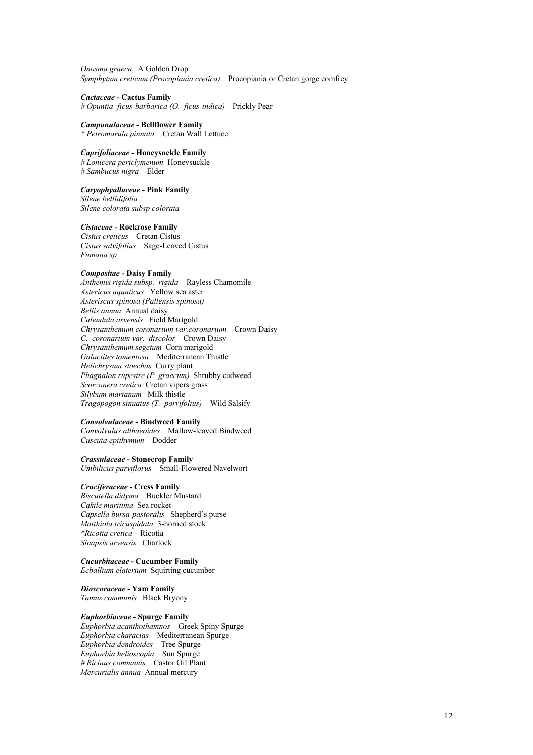*Onosma graeca* A Golden Drop *Symphytum creticum (Procopiania cretica)* Procopiania or Cretan gorge comfrey

*Cactaceae* **- Cactus Family** *# Opuntia ficus-barbarica (O. ficus-indica)* Prickly Pear

*Campanulaceae* **- Bellflower Family** *\* Petromarula pinnata* Cretan Wall Lettuce

### *Caprifoliaceae -* **Honeysuckle Family**

*# Lonicera periclymenum* Honeysuckle *# Sambucus nigra* Elder

# *Caryophyallaceae* **- Pink Family**

*Silene bellidifolia Silene colorata subsp colorata*

### *Cistaceae* **- Rockrose Family**

*Cistus creticus* Cretan Cistus *Cistus salvifolius* Sage-Leaved Cistus *Fumana sp*

# *Compositae* **- Daisy Family**

*Anthemis rigida subsp. rigida* Rayless Chamomile *Astericus aquaticus* Yellow sea aster *Asteriscus spinosa (Pallensis spinosa) Bellis annua* Annual daisy *Calendula arvensis* Field Marigold *Chrysanthemum coronarium var.coronarium* Crown Daisy *C. coronarium var. discolor* Crown Daisy *Chrysanthemum segetum* Corn marigold *Galactites tomentosa* Mediterranean Thistle *Helichrysum stoechas* Curry plant *Phagnalon rupestre (P. graecum)* Shrubby cudweed *Scorzonera cretica* Cretan vipers grass *Silybum marianum* Milk thistle *Tragopogon sinuatus (T. porrifolius)* Wild Salsify

# *Convolvulaceae* **- Bindweed Family**

*Convolvulus althaeoides* Mallow-leaved Bindweed *Cuscuta epithymum* Dodder

### *Crassulaceae* **- Stonecrop Family**

*Umbilicus parviflorus* Small-Flowered Navelwort

# *Cruciferaceae* **- Cress Family**

*Biscutella didyma* Buckler Mustard *Cakile maritima* Sea rocket *Capsella bursa-pastoralis* Shepherd's purse *Matthiola tricuspidata* 3-horned stock *\*Ricotia cretica* Ricotia *Sinapsis arvensis* Charlock

### *Cucurbitaceae* **- Cucumber Family**

*Ecballium elaterium* Squirting cucumber

*Dioscoraceae* **- Yam Family**

*Tamus communis* Black Bryony

# *Euphorbiaceae* **- Spurge Family**

*Euphorbia acanthothamnos* Greek Spiny Spurge *Euphorbia characias* Mediterranean Spurge *Euphorbia dendroides* Tree Spurge *Euphorbia helioscopia* Sun Spurge *# Ricinus communis* Castor Oil Plant *Mercurialis annua* Annual mercury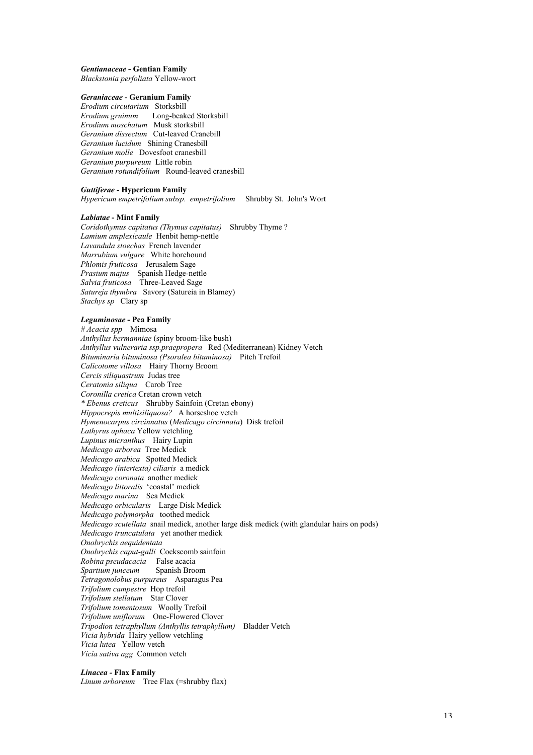# *Gentianaceae* **- Gentian Family**

*Blackstonia perfoliata* Yellow-wort

# *Geraniaceae* **- Geranium Family**

*Erodium circutarium* Storksbill *Erodium gruinum* Long-beaked Storksbill *Erodium moschatum* Musk storksbill *Geranium dissectum* Cut-leaved Cranebill *Geranium lucidum* Shining Cranesbill *Geranium molle* Dovesfoot cranesbill *Geranium purpureum* Little robin *Geranium rotundifolium* Round-leaved cranesbill

### *Guttiferae -* **Hypericum Family**

*Hypericum empetrifolium subsp. empetrifolium* Shrubby St. John's Wort

### *Labiatae* **- Mint Family**

*Coridothymus capitatus (Thymus capitatus)* Shrubby Thyme ? *Lamium amplexicaule* Henbit hemp-nettle *Lavandula stoechas* French lavender *Marrubium vulgare* White horehound *Phlomis fruticosa* Jerusalem Sage *Prasium majus* Spanish Hedge-nettle *Salvia fruticosa* Three-Leaved Sage *Satureja thymbra* Savory (Satureia in Blamey) *Stachys sp* Clary sp

### *Leguminosae* **- Pea Family**

*# Acacia spp* Mimosa *Anthyllus hermanniae* (spiny broom-like bush) *Anthyllus vulneraria ssp.praepropera* Red (Mediterranean) Kidney Vetch *Bituminaria bituminosa (Psoralea bituminosa)* Pitch Trefoil *Calicotome villosa* Hairy Thorny Broom *Cercis siliquastrum* Judas tree *Ceratonia siliqua* Carob Tree *Coronilla cretica* Cretan crown vetch *\* Ebenus creticus* Shrubby Sainfoin (Cretan ebony) *Hippocrepis multisiliquosa?* A horseshoe vetch *Hymenocarpus circinnatus* (*Medicago circinnata*) Disk trefoil *Lathyrus aphaca* Yellow vetchling *Lupinus micranthus* Hairy Lupin *Medicago arborea* Tree Medick *Medicago arabica* Spotted Medick *Medicago (intertexta) ciliaris* a medick *Medicago coronata* another medick *Medicago littoralis* 'coastal' medick *Medicago marina* Sea Medick *Medicago orbicularis* Large Disk Medick *Medicago polymorpha* toothed medick *Medicago scutellata* snail medick, another large disk medick (with glandular hairs on pods) *Medicago truncatulata* yet another medick *Onobrychis aequidentata Onobrychis caput-galli* Cockscomb sainfoin *Robina pseudacacia* False acacia *Spartium junceum Tetragonolobus purpureus* Asparagus Pea *Trifolium campestre* Hop trefoil *Trifolium stellatum* Star Clover *Trifolium tomentosum* Woolly Trefoil *Trifolium uniflorum* One-Flowered Clover *Tripodion tetraphyllum (Anthyllis tetraphyllum)* Bladder Vetch *Vicia hybrida* Hairy yellow vetchling *Vicia lutea* Yellow vetch *Vicia sativa agg* Common vetch

# *Linacea -* **Flax Family**

*Linum arboreum* Tree Flax (=shrubby flax)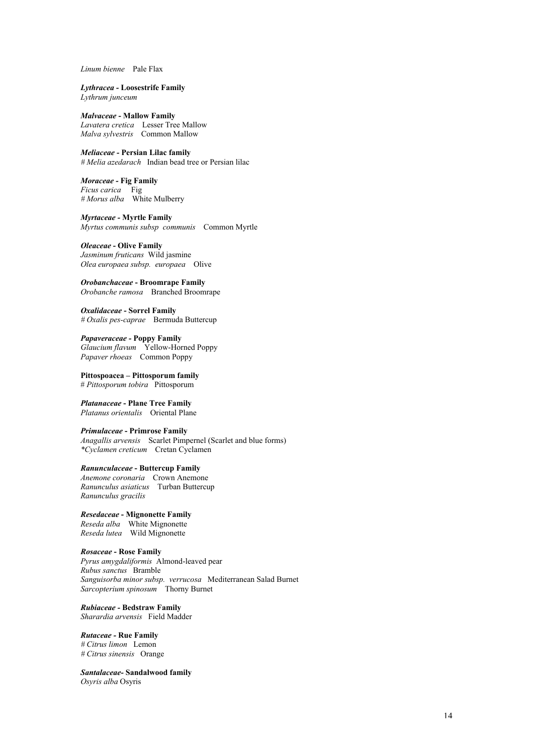*Linum bienne* Pale Flax

# *Lythracea -* **Loosestrife Family**

*Lythrum junceum*

### *Malvaceae* **- Mallow Family** *Lavatera cretica* Lesser Tree Mallow *Malva sylvestris* Common Mallow

*Meliaceae -* **Persian Lilac family** *# Melia azedarach* Indian bead tree or Persian lilac

### *Moraceae -* **Fig Family**

*Ficus carica* Fig *# Morus alba* White Mulberry

*Myrtaceae -* **Myrtle Family** *Myrtus communis subsp communis* Common Myrtle

### *Oleaceae* **- Olive Family**

*Jasminum fruticans* Wild jasmine *Olea europaea subsp. europaea* Olive

*Orobanchaceae* **- Broomrape Family** *Orobanche ramosa* Branched Broomrape

*Oxalidaceae* **- Sorrel Family** *# Oxalis pes-caprae* Bermuda Buttercup

*Papaveraceae -* **Poppy Family** *Glaucium flavum* Yellow-Horned Poppy *Papaver rhoeas* Common Poppy

**Pittospoacea – Pittosporum family** # *Pittosporum tobira* Pittosporum

*Platanaceae* **- Plane Tree Family** *Platanus orientalis* Oriental Plane

### *Primulaceae* **- Primrose Family**

*Anagallis arvensis* Scarlet Pimpernel (Scarlet and blue forms) *\*Cyclamen creticum* Cretan Cyclamen

### *Ranunculaceae* **- Buttercup Family**

*Anemone coronaria* Crown Anemone *Ranunculus asiaticus* Turban Buttercup *Ranunculus gracilis*

# *Resedaceae* **- Mignonette Family**

*Reseda alba* White Mignonette *Reseda lutea* Wild Mignonette

# *Rosaceae* **- Rose Family**

*Pyrus amygdaliformis* Almond-leaved pear *Rubus sanctus* Bramble *Sanguisorba minor subsp. verrucosa* Mediterranean Salad Burnet *Sarcopterium spinosum* Thorny Burnet

*Rubiaceae -* **Bedstraw Family** *Sharardia arvensis* Field Madder

# *Rutaceae -* **Rue Family**

*# Citrus limon* Lemon *# Citrus sinensis* Orange

*Santalaceae-* **Sandalwood family** *Osyris alba* Osyris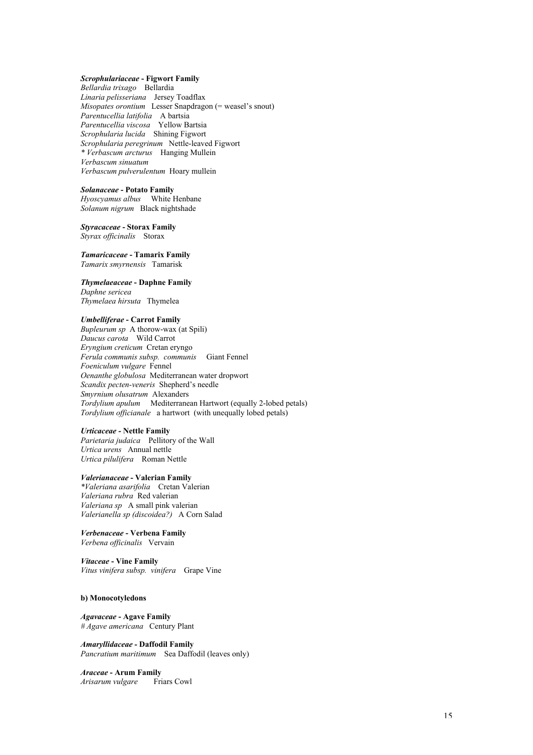# *Scrophulariaceae* **- Figwort Family**

*Bellardia trixago* Bellardia *Linaria pelisseriana* Jersey Toadflax *Misopates orontium* Lesser Snapdragon (= weasel's snout) *Parentucellia latifolia* A bartsia *Parentucellia viscosa* Yellow Bartsia *Scrophularia lucida* Shining Figwort *Scrophularia peregrinum* Nettle-leaved Figwort *\* Verbascum arcturus* Hanging Mullein *Verbascum sinuatum Verbascum pulverulentum* Hoary mullein

### *Solanaceae* **- Potato Family**

*Hyoscyamus albus* White Henbane *Solanum nigrum* Black nightshade

*Styracaceae* **- Storax Family** *Styrax officinalis* Storax

*Tamaricaceae* **- Tamarix Family** *Tamarix smyrnensis* Tamarisk

*Thymelaeaceae* **- Daphne Family** *Daphne sericea Thymelaea hirsuta* Thymelea

### *Umbelliferae* **- Carrot Family**

*Bupleurum sp* A thorow-wax (at Spili) *Daucus carota* Wild Carrot *Eryngium creticum* Cretan eryngo *Ferula communis subsp. communis* Giant Fennel *Foeniculum vulgare* Fennel *Oenanthe globulosa* Mediterranean water dropwort *Scandix pecten-veneris* Shepherd's needle *Smyrnium olusatrum* Alexanders *Tordylium apulum* Mediterranean Hartwort (equally 2-lobed petals) *Tordylium officianale* a hartwort (with unequally lobed petals)

### *Urticaceae -* **Nettle Family**

*Parietaria judaica* Pellitory of the Wall *Urtica urens* Annual nettle *Urtica pilulifera* Roman Nettle

### *Valerianaceae* **- Valerian Family**

*\*Valeriana asarifolia* Cretan Valerian *Valeriana rubra* Red valerian *Valeriana sp* A small pink valerian *Valerianella sp (discoidea?)* A Corn Salad

*Verbenaceae* **- Verbena Family** *Verbena officinalis* Vervain

*Vitaceae* **- Vine Family** *Vitus vinifera subsp. vinifera* Grape Vine

### **b) Monocotyledons**

*Agavaceae* **- Agave Family** *# Agave americana* Century Plant

*Amaryllidaceae -* **Daffodil Family** *Pancratium maritimum* Sea Daffodil (leaves only)

*Araceae* **- Arum Family** *Arisarum vulgare* Friars Cowl